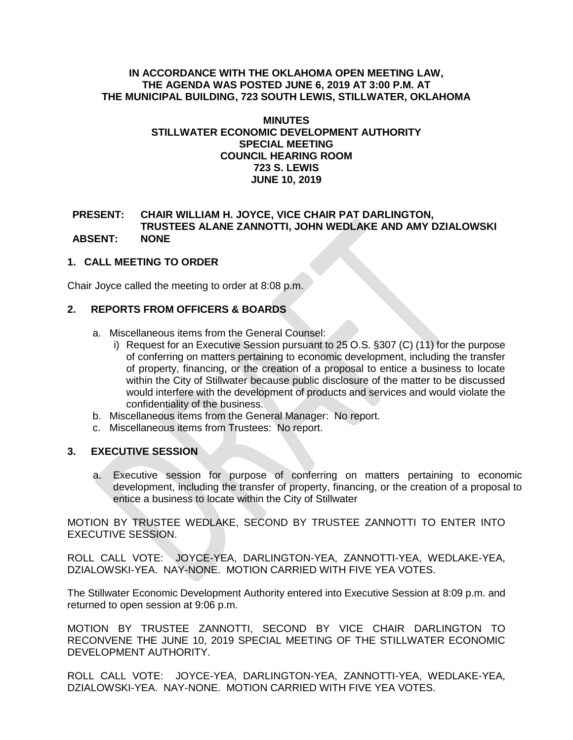## **IN ACCORDANCE WITH THE OKLAHOMA OPEN MEETING LAW, THE AGENDA WAS POSTED JUNE 6, 2019 AT 3:00 P.M. AT THE MUNICIPAL BUILDING, 723 SOUTH LEWIS, STILLWATER, OKLAHOMA**

#### **MINUTES STILLWATER ECONOMIC DEVELOPMENT AUTHORITY SPECIAL MEETING COUNCIL HEARING ROOM 723 S. LEWIS JUNE 10, 2019**

# **PRESENT: CHAIR WILLIAM H. JOYCE, VICE CHAIR PAT DARLINGTON, TRUSTEES ALANE ZANNOTTI, JOHN WEDLAKE AND AMY DZIALOWSKI ABSENT: NONE**

# **1. CALL MEETING TO ORDER**

Chair Joyce called the meeting to order at 8:08 p.m.

## **2. REPORTS FROM OFFICERS & BOARDS**

- a. Miscellaneous items from the General Counsel:
	- i) Request for an Executive Session pursuant to 25 O.S. §307 (C) (11) for the purpose of conferring on matters pertaining to economic development, including the transfer of property, financing, or the creation of a proposal to entice a business to locate within the City of Stillwater because public disclosure of the matter to be discussed would interfere with the development of products and services and would violate the confidentiality of the business.
- b. Miscellaneous items from the General Manager: No report.
- c. Miscellaneous items from Trustees: No report.

#### **3. EXECUTIVE SESSION**

a. Executive session for purpose of conferring on matters pertaining to economic development, including the transfer of property, financing, or the creation of a proposal to entice a business to locate within the City of Stillwater

MOTION BY TRUSTEE WEDLAKE, SECOND BY TRUSTEE ZANNOTTI TO ENTER INTO EXECUTIVE SESSION.

ROLL CALL VOTE: JOYCE-YEA, DARLINGTON-YEA, ZANNOTTI-YEA, WEDLAKE-YEA, DZIALOWSKI-YEA. NAY-NONE. MOTION CARRIED WITH FIVE YEA VOTES.

The Stillwater Economic Development Authority entered into Executive Session at 8:09 p.m. and returned to open session at 9:06 p.m.

MOTION BY TRUSTEE ZANNOTTI, SECOND BY VICE CHAIR DARLINGTON TO RECONVENE THE JUNE 10, 2019 SPECIAL MEETING OF THE STILLWATER ECONOMIC DEVELOPMENT AUTHORITY.

ROLL CALL VOTE: JOYCE-YEA, DARLINGTON-YEA, ZANNOTTI-YEA, WEDLAKE-YEA, DZIALOWSKI-YEA. NAY-NONE. MOTION CARRIED WITH FIVE YEA VOTES.